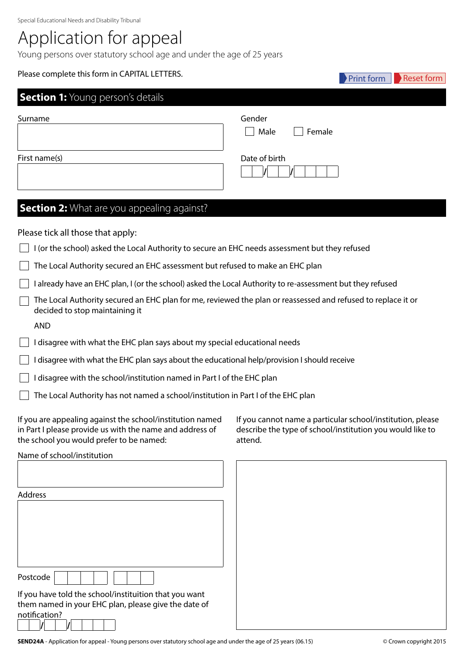# Application for appeal

Young persons over statutory school age and under the age of 25 years

# **Section 1:** Young person's details Please complete this form in CAPITAL LETTERS. Surname First name(s) Date of birth **/ /** Gender Male **Female Section 2:** What are you appealing against? Please tick all those that apply: I (or the school) asked the Local Authority to secure an EHC needs assessment but they refused  $\Box$  The Local Authority secured an EHC assessment but refused to make an EHC plan  $\vert \ \vert$  I already have an EHC plan, I (or the school) asked the Local Authority to re-assessment but they refused  $\Box$  The Local Authority secured an EHC plan for me, reviewed the plan or reassessed and refused to replace it or decided to stop maintaining it AND  $\Box$  I disagree with what the EHC plan says about my special educational needs  $\Box$  I disagree with what the EHC plan says about the educational help/provision I should receive I disagree with the school/institution named in Part I of the EHC plan The Local Authority has not named a school/institution in Part I of the EHC plan Print form  $\|\cdot\|$  Reset form

If you are appealing against the school/institution named in Part I please provide us with the name and address of the school you would prefer to be named:

If you cannot name a particular school/institution, please describe the type of school/institution you would like to attend.

Name of school/institution

| Address                                                |
|--------------------------------------------------------|
|                                                        |
|                                                        |
|                                                        |
|                                                        |
|                                                        |
| Postcode                                               |
| If you have told the school/instituition that you want |
| them named in your EHC plan, please give the date of   |
| notification?                                          |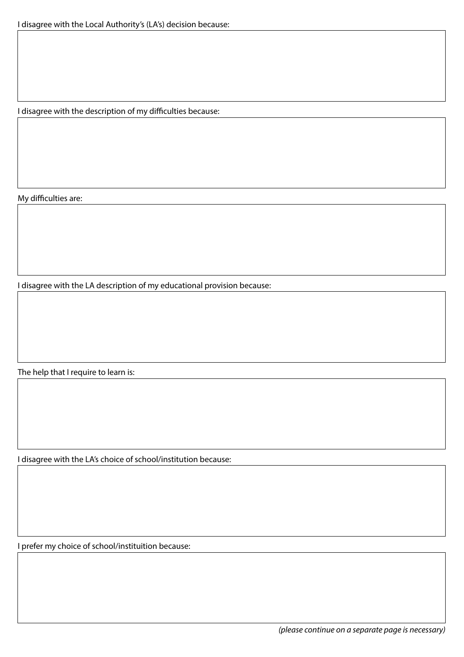I disagree with the description of my difficulties because:

My difficulties are:

I disagree with the LA description of my educational provision because:

The help that I require to learn is:

I disagree with the LA's choice of school/institution because:

I prefer my choice of school/instituition because: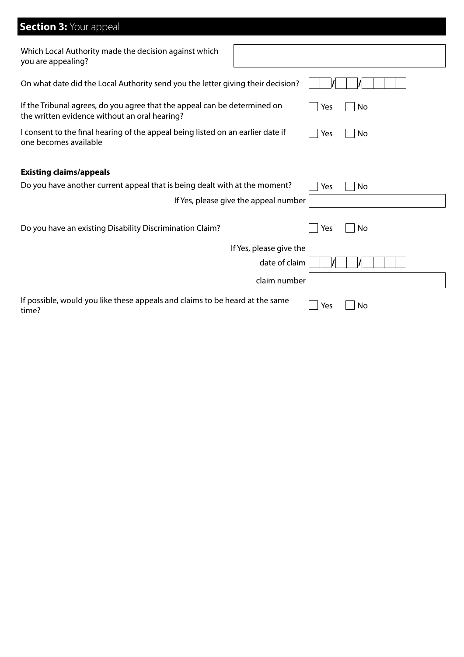# **Section 3: Your appeal**

| Which Local Authority made the decision against which<br>you are appealing?                                                |                         |     |    |
|----------------------------------------------------------------------------------------------------------------------------|-------------------------|-----|----|
| On what date did the Local Authority send you the letter giving their decision?                                            |                         |     |    |
| If the Tribunal agrees, do you agree that the appeal can be determined on<br>the written evidence without an oral hearing? |                         | Yes | No |
| I consent to the final hearing of the appeal being listed on an earlier date if<br>one becomes available                   |                         | Yes | No |
| <b>Existing claims/appeals</b>                                                                                             |                         |     |    |
| Do you have another current appeal that is being dealt with at the moment?                                                 |                         | Yes | No |
| If Yes, please give the appeal number                                                                                      |                         |     |    |
|                                                                                                                            |                         |     |    |
| Do you have an existing Disability Discrimination Claim?                                                                   |                         | Yes | No |
|                                                                                                                            | If Yes, please give the |     |    |
|                                                                                                                            | date of claim           |     |    |
|                                                                                                                            | claim number            |     |    |
| If possible, would you like these appeals and claims to be heard at the same<br>time?                                      |                         | Yes | No |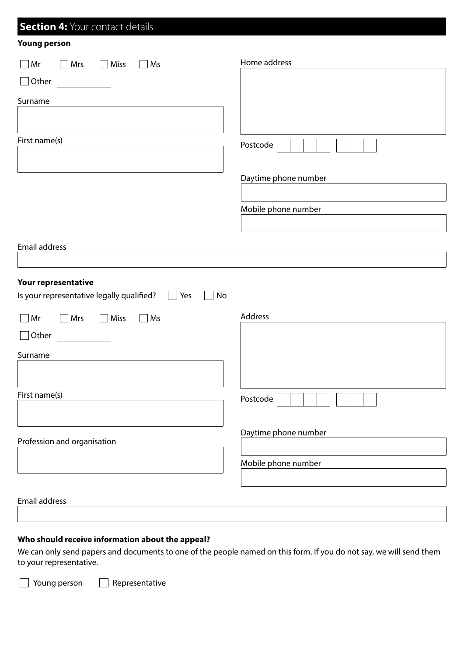| <b>Section 4: Your contact details</b>                                 |                      |
|------------------------------------------------------------------------|----------------------|
| <b>Young person</b>                                                    |                      |
| Mrs<br>$\Box$ Miss<br>$\Box$ Ms<br>Mr<br>$\mathcal{L}$                 | Home address         |
| Other                                                                  |                      |
| Surname                                                                |                      |
|                                                                        |                      |
| First name(s)                                                          | Postcode             |
|                                                                        | Daytime phone number |
|                                                                        |                      |
|                                                                        | Mobile phone number  |
|                                                                        |                      |
| Email address                                                          |                      |
|                                                                        |                      |
| Your representative                                                    |                      |
| Is your representative legally qualified?<br>Yes<br>No<br>$\mathbf{1}$ |                      |
| Mrs<br>$\Box$ Miss<br>$\Box$ Ms<br>Mr                                  | Address              |
| Other                                                                  |                      |
| Surname                                                                |                      |
|                                                                        |                      |
| First name(s)                                                          | Postcode             |
|                                                                        | Daytime phone number |
| Profession and organisation                                            |                      |
|                                                                        | Mobile phone number  |
|                                                                        |                      |
| Email address                                                          |                      |

### **Who should receive information about the appeal?**

We can only send papers and documents to one of the people named on this form. If you do not say, we will send them to your representative.

**The Young person** Representative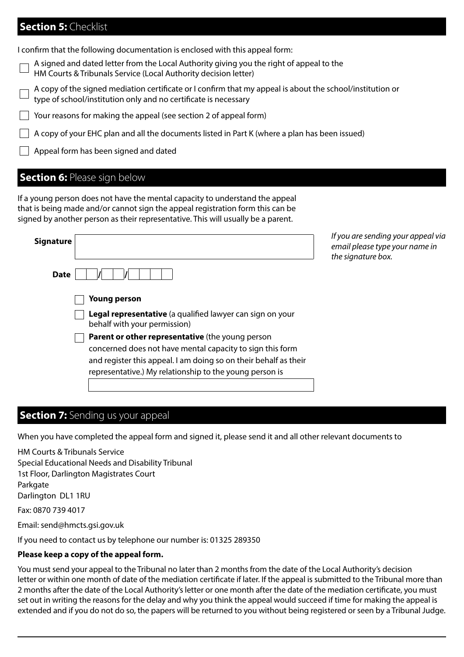## **Section 5:** Checklist

I confirm that the following documentation is enclosed with this appeal form:

A signed and dated letter from the Local Authority giving you the right of appeal to the

HM Courts & Tribunals Service (Local Authority decision letter)

A copy of the signed mediation certificate or I confirm that my appeal is about the school/institution or type of school/institution only and no certificate is necessary

 $\Box$  Your reasons for making the appeal (see section 2 of appeal form)

 $\Box$  A copy of your EHC plan and all the documents listed in Part K (where a plan has been issued)

 $\Box$  Appeal form has been signed and dated

### **Section 6: Please sign below**

If a young person does not have the mental capacity to understand the appeal that is being made and/or cannot sign the appeal registration form this can be signed by another person as their representative. This will usually be a parent.

| <b>Signature</b>                                                                                                                                                                                                                             | If you are sending your appeal via<br>email please type your name in<br>the signature box. |
|----------------------------------------------------------------------------------------------------------------------------------------------------------------------------------------------------------------------------------------------|--------------------------------------------------------------------------------------------|
| <b>Date</b>                                                                                                                                                                                                                                  |                                                                                            |
| Young person                                                                                                                                                                                                                                 |                                                                                            |
| Legal representative (a qualified lawyer can sign on your<br>behalf with your permission)                                                                                                                                                    |                                                                                            |
| Parent or other representative (the young person<br>concerned does not have mental capacity to sign this form<br>and register this appeal. I am doing so on their behalf as their<br>representative.) My relationship to the young person is |                                                                                            |
|                                                                                                                                                                                                                                              |                                                                                            |

### **Section 7:** Sending us your appeal

When you have completed the appeal form and signed it, please send it and all other relevant documents to

HM Courts & Tribunals Service Special Educational Needs and Disability Tribunal 1st Floor, Darlington Magistrates Court Parkgate Darlington DL1 1RU Fax: 0870 739 4017 Email: send@hmcts.gsi.gov.uk

If you need to contact us by telephone our number is: 01325 289350

### **Please keep a copy of the appeal form.**

You must send your appeal to the Tribunal no later than 2 months from the date of the Local Authority's decision letter or within one month of date of the mediation certificate if later. If the appeal is submitted to the Tribunal more than 2 months after the date of the Local Authority's letter or one month after the date of the mediation certificate, you must set out in writing the reasons for the delay and why you think the appeal would succeed if time for making the appeal is extended and if you do not do so, the papers will be returned to you without being registered or seen by a Tribunal Judge.